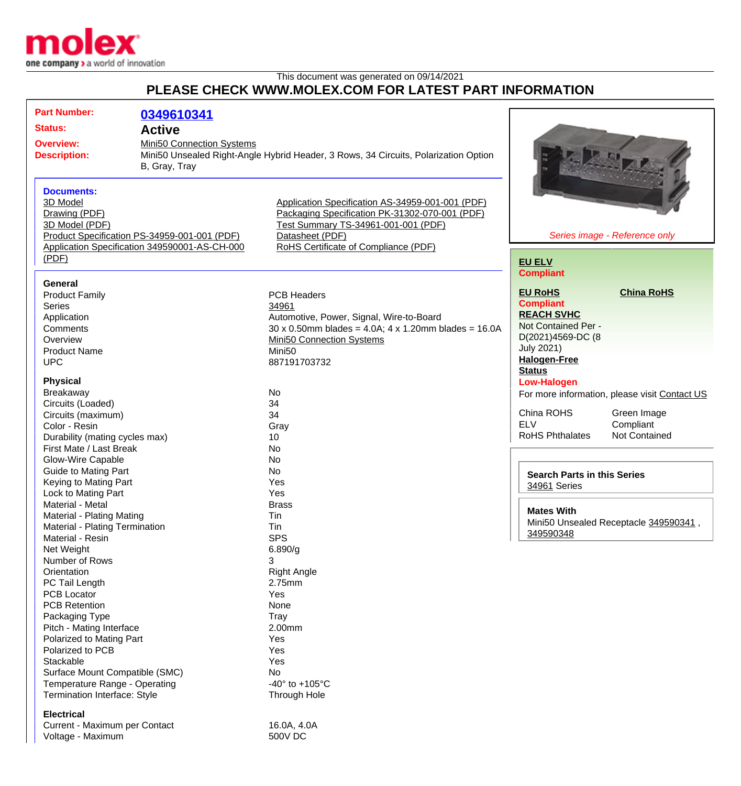

This document was generated on 09/14/2021

## **PLEASE CHECK WWW.MOLEX.COM FOR LATEST PART INFORMATION**

| <b>Part Number:</b><br><b>Status:</b><br><b>Overview:</b><br><b>Description:</b>                                                                                           | 0349610341<br><b>Active</b><br>Mini50 Connection Systems<br>Mini50 Unsealed Right-Angle Hybrid Header, 3 Rows, 34 Circuits, Polarization Option<br>B, Gray, Tray |                                                                                                                                                                                                            |                                                                                                                                                 |                                                              |
|----------------------------------------------------------------------------------------------------------------------------------------------------------------------------|------------------------------------------------------------------------------------------------------------------------------------------------------------------|------------------------------------------------------------------------------------------------------------------------------------------------------------------------------------------------------------|-------------------------------------------------------------------------------------------------------------------------------------------------|--------------------------------------------------------------|
| <b>Documents:</b><br>3D Model<br>Drawing (PDF)<br>3D Model (PDF)<br>Product Specification PS-34959-001-001 (PDF)<br>Application Specification 349590001-AS-CH-000<br>(PDF) |                                                                                                                                                                  | Application Specification AS-34959-001-001 (PDF)<br>Packaging Specification PK-31302-070-001 (PDF)<br>Test Summary TS-34961-001-001 (PDF)<br>Datasheet (PDF)<br>RoHS Certificate of Compliance (PDF)       | Series image - Reference only                                                                                                                   |                                                              |
|                                                                                                                                                                            |                                                                                                                                                                  |                                                                                                                                                                                                            | <b>EU ELV</b><br><b>Compliant</b>                                                                                                               |                                                              |
| <b>General</b><br><b>Product Family</b><br><b>Series</b><br>Application<br>Comments<br>Overview<br><b>Product Name</b><br><b>UPC</b>                                       |                                                                                                                                                                  | <b>PCB Headers</b><br>34961<br>Automotive, Power, Signal, Wire-to-Board<br>$30 \times 0.50$ mm blades = 4.0A; 4 x 1.20mm blades = 16.0A<br>Mini50 Connection Systems<br>Mini <sub>50</sub><br>887191703732 | <b>EU RoHS</b><br><b>Compliant</b><br><b>REACH SVHC</b><br>Not Contained Per -<br>D(2021)4569-DC (8<br><b>July 2021)</b><br><b>Halogen-Free</b> | <b>China RoHS</b>                                            |
| <b>Physical</b><br>Breakaway<br>Circuits (Loaded)<br>Circuits (maximum)                                                                                                    |                                                                                                                                                                  | No<br>34<br>34                                                                                                                                                                                             | <b>Status</b><br><b>Low-Halogen</b><br>China ROHS                                                                                               | For more information, please visit Contact US<br>Green Image |
| Color - Resin<br>Durability (mating cycles max)<br>First Mate / Last Break<br><b>Glow-Wire Capable</b>                                                                     |                                                                                                                                                                  | Gray<br>10<br>No<br>No                                                                                                                                                                                     | <b>ELV</b><br><b>RoHS Phthalates</b>                                                                                                            | Compliant<br>Not Contained                                   |
| <b>Guide to Mating Part</b><br>Keying to Mating Part<br>Lock to Mating Part<br>Material - Metal                                                                            |                                                                                                                                                                  | No<br>Yes<br>Yes<br><b>Brass</b>                                                                                                                                                                           | <b>Search Parts in this Series</b><br>34961 Series                                                                                              |                                                              |
| Material - Plating Mating<br>Material - Plating Termination<br>Material - Resin                                                                                            |                                                                                                                                                                  | Tin<br>Tin<br><b>SPS</b>                                                                                                                                                                                   | <b>Mates With</b><br>349590348                                                                                                                  | Mini50 Unsealed Receptacle 349590341,                        |
| Net Weight<br>Number of Rows<br>Orientation<br>PC Tail Length<br><b>PCB Locator</b>                                                                                        |                                                                                                                                                                  | 6.890/g<br>3<br><b>Right Angle</b><br>2.75mm<br>Yes                                                                                                                                                        |                                                                                                                                                 |                                                              |
| <b>PCB Retention</b><br>Packaging Type<br>Pitch - Mating Interface<br>Polarized to Mating Part                                                                             |                                                                                                                                                                  | None<br>Tray<br>2.00mm<br>Yes                                                                                                                                                                              |                                                                                                                                                 |                                                              |
| Polarized to PCB<br>Stackable<br>Surface Mount Compatible (SMC)<br>Temperature Range - Operating<br>Termination Interface: Style                                           |                                                                                                                                                                  | Yes<br>Yes<br>No<br>-40 $\degree$ to +105 $\degree$ C<br>Through Hole                                                                                                                                      |                                                                                                                                                 |                                                              |
| <b>Electrical</b><br>Current - Maximum per Contact<br>Voltage - Maximum                                                                                                    |                                                                                                                                                                  | 16.0A, 4.0A<br><b>500V DC</b>                                                                                                                                                                              |                                                                                                                                                 |                                                              |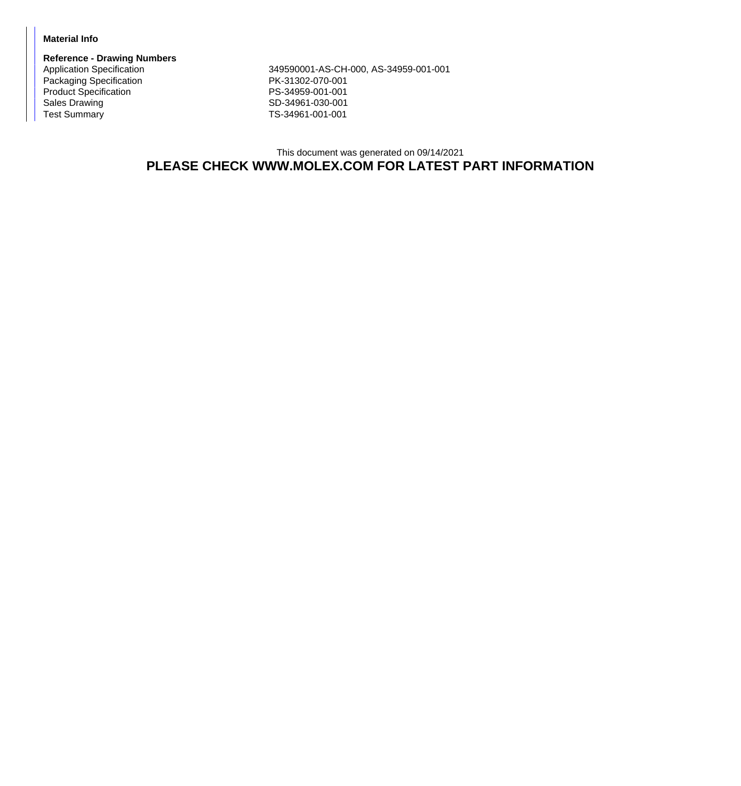## **Material Info**

**Reference - Drawing Numbers** Packaging Specification **PK-31302-070-001** Product Specification **PS-34959-001-001** Sales Drawing Sales Drawing SD-34961-030-001<br>
Test Summary SD-34961-001-001

Application Specification 349590001-AS-CH-000, AS-34959-001-001 TS-34961-001-001

## This document was generated on 09/14/2021 **PLEASE CHECK WWW.MOLEX.COM FOR LATEST PART INFORMATION**